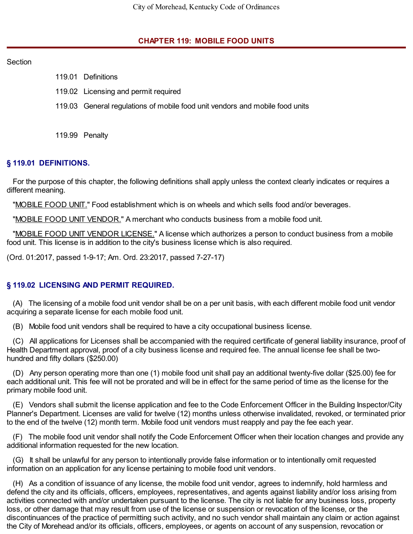### **CHAPTER 119: MOBILE FOOD UNITS**

#### Section

- 119.01 Definitions
- 119.02 Licensing and permit required
- 119.03 General regulations of mobile food unit vendors and mobile food units
- 119.99 Penalty

### **§ 119.01 DEFINITIONS.**

For the purpose of this chapter, the following definitions shall apply unless the context clearly indicates or requires a different meaning.

"MOBILE FOOD UNIT." Food establishment which is on wheels and which sells food and/or beverages.

"MOBILE FOOD UNIT VENDOR." A merchant who conducts business from a mobile food unit.

"MOBILE FOOD UNIT VENDOR LICENSE." A license which authorizes a person to conduct business from a mobile food unit. This license is in addition to the city's business license which is also required.

(Ord. 01:2017, passed 1-9-17; Am. Ord. 23:2017, passed 7-27-17)

## **§ 119.02 LICENSING AND PERMIT REQUIRED.**

(A) The licensing of a mobile food unit vendor shall be on a per unit basis, with each different mobile food unit vendor acquiring a separate license for each mobile food unit.

(B) Mobile food unit vendors shall be required to have a city occupational business license.

(C) All applications for Licenses shall be accompanied with the required certificate of general liability insurance, proof of Health Department approval, proof of a city business license and required fee. The annual license fee shall be twohundred and fifty dollars (\$250.00)

(D) Any person operating more than one (1) mobile food unit shall pay an additional twenty-five dollar (\$25.00) fee for each additional unit. This fee will not be prorated and will be in effect for the same period of time as the license for the primary mobile food unit.

(E) Vendors shall submit the license application and fee to the Code Enforcement Officer in the Building Inspector/City Planner's Department. Licenses are valid for twelve (12) months unless otherwise invalidated, revoked, or terminated prior to the end of the twelve (12) month term. Mobile food unit vendors must reapply and pay the fee each year.

(F) The mobile food unit vendor shall notify the Code Enforcement Officer when their location changes and provide any additional information requested for the new location.

(G) It shall be unlawful for any person to intentionally provide false information or to intentionally omit requested information on an application for any license pertaining to mobile food unit vendors.

(H) As a condition of issuance of any license, the mobile food unit vendor, agrees to indemnify, hold harmless and defend the city and its officials, officers, employees, representatives, and agents against liability and/or loss arising from activities connected with and/or undertaken pursuant to the license. The city is not liable for any business loss, property loss, or other damage that may result from use of the license or suspension or revocation of the license, or the discontinuances of the practice of permitting such activity, and no such vendor shall maintain any claim or action against the City of Morehead and/or its officials, officers, employees, or agents on account of any suspension, revocation or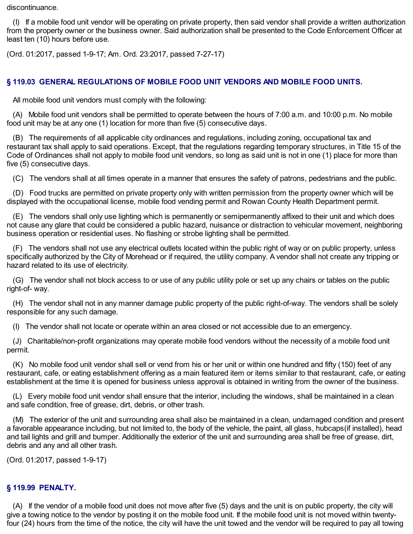discontinuance.

(I) If a mobile food unit vendor will be operating on private property, then said vendor shall provide a written authorization from the property owner or the business owner. Said authorization shall be presented to the Code Enforcement Officer at least ten (10) hours before use.

(Ord. 01:2017, passed 1-9-17; Am. Ord. 23:2017, passed 7-27-17)

# **§ 119.03 GENERAL REGULATIONS OF MOBILE FOOD UNIT VENDORS AND MOBILE FOOD UNITS.**

All mobile food unit vendors must comply with the following:

(A) Mobile food unit vendors shall be permitted to operate between the hours of 7:00 a.m. and 10:00 p.m. No mobile food unit may be at any one (1) location for more than five (5) consecutive days.

(B) The requirements of all applicable city ordinances and regulations, including zoning, occupational tax and restaurant tax shall apply to said operations. Except, that the regulations regarding temporary structures, in Title 15 of the Code of Ordinances shall not apply to mobile food unit vendors, so long as said unit is not in one (1) place for more than five (5) consecutive days.

(C) The vendors shall at all times operate in a manner that ensures the safety of patrons, pedestrians and the public.

(D) Food trucks are permitted on private property only with written permission from the property owner which will be displayed with the occupational license, mobile food vending permit and Rowan County Health Department permit.

(E) The vendors shall only use lighting which is permanently or semipermanently affixed to their unit and which does not cause any glare that could be considered a public hazard, nuisance or distraction to vehicular movement, neighboring business operation or residential uses. No flashing or strobe lighting shall be permitted.

(F) The vendors shall not use any electrical outlets located within the public right of way or on public property, unless specifically authorized by the City of Morehead or if required, the utility company. A vendor shall not create any tripping or hazard related to its use of electricity.

(G) The vendor shall not block access to or use of any public utility pole or set up any chairs or tables on the public right-of- way.

(H) The vendor shall not in any manner damage public property of the public right-of-way. The vendors shall be solely responsible for any such damage.

(I) The vendor shall not locate or operate within an area closed or not accessible due to an emergency.

(J) Charitable/non-profit organizations may operate mobile food vendors without the necessity of a mobile food unit permit.

(K) No mobile food unit vendor shall sell or vend from his or her unit or within one hundred and fifty (150) feet of any restaurant, cafe, or eating establishment offering as a main featured item or items similar to that restaurant, cafe, or eating establishment at the time it is opened for business unless approval is obtained in writing from the owner of the business.

(L) Every mobile food unit vendor shall ensure that the interior, including the windows, shall be maintained in a clean and safe condition, free of grease, dirt, debris, or other trash.

(M) The exterior of the unit and surrounding area shall also be maintained in a clean, undamaged condition and present a favorable appearance including, but not limited to, the body of the vehicle, the paint, all glass, hubcaps(if installed), head and tail lights and grill and bumper. Additionally the exterior of the unit and surrounding area shall be free of grease, dirt, debris and any and all other trash.

(Ord. 01:2017, passed 1-9-17)

#### **§ 119.99 PENALTY.**

(A) If the vendor of a mobile food unit does not move after five (5) days and the unit is on public property, the city will give a towing notice to the vendor by posting it on the mobile food unit. If the mobile food unit is not moved within twentyfour (24) hours from the time of the notice, the city will have the unit towed and the vendor will be required to pay all towing